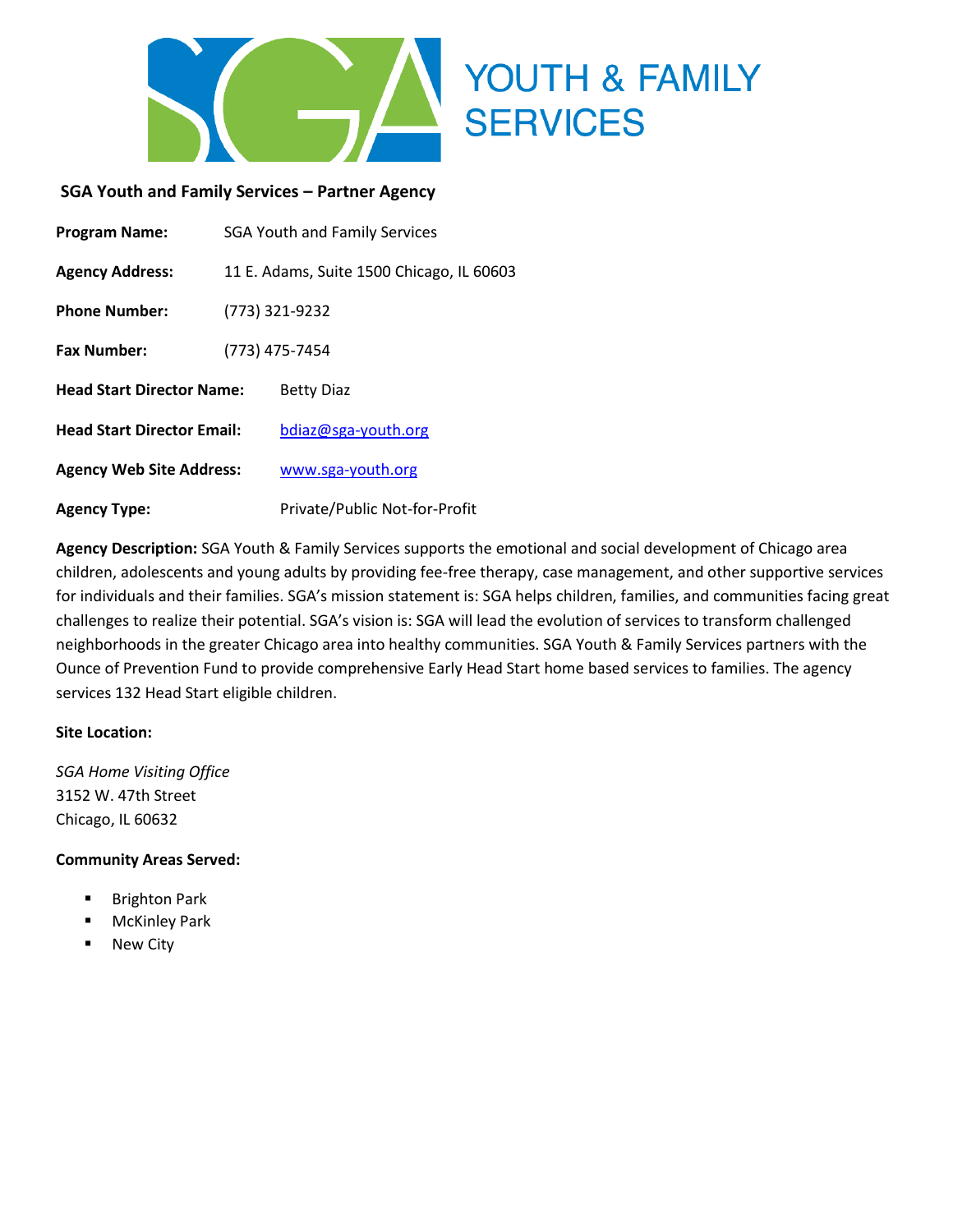

#### **SGA Youth and Family Services – Partner Agency**

| <b>Program Name:</b>              | <b>SGA Youth and Family Services</b>      |                               |
|-----------------------------------|-------------------------------------------|-------------------------------|
| <b>Agency Address:</b>            | 11 E. Adams, Suite 1500 Chicago, IL 60603 |                               |
| <b>Phone Number:</b>              | (773) 321-9232                            |                               |
| <b>Fax Number:</b>                | (773) 475-7454                            |                               |
| <b>Head Start Director Name:</b>  |                                           | <b>Betty Diaz</b>             |
| <b>Head Start Director Email:</b> |                                           | bdiaz@sga-youth.org           |
| <b>Agency Web Site Address:</b>   |                                           | www.sga-youth.org             |
| <b>Agency Type:</b>               |                                           | Private/Public Not-for-Profit |

**Agency Description:** SGA Youth & Family Services supports the emotional and social development of Chicago area children, adolescents and young adults by providing fee-free therapy, case management, and other supportive services for individuals and their families. SGA's mission statement is: SGA helps children, families, and communities facing great challenges to realize their potential. SGA's vision is: SGA will lead the evolution of services to transform challenged neighborhoods in the greater Chicago area into healthy communities. SGA Youth & Family Services partners with the Ounce of Prevention Fund to provide comprehensive Early Head Start home based services to families. The agency services 132 Head Start eligible children.

#### **Site Location:**

*SGA Home Visiting Office* 3152 W. 47th Street Chicago, IL 60632

#### **Community Areas Served:**

- **Brighton Park**
- McKinley Park
- New City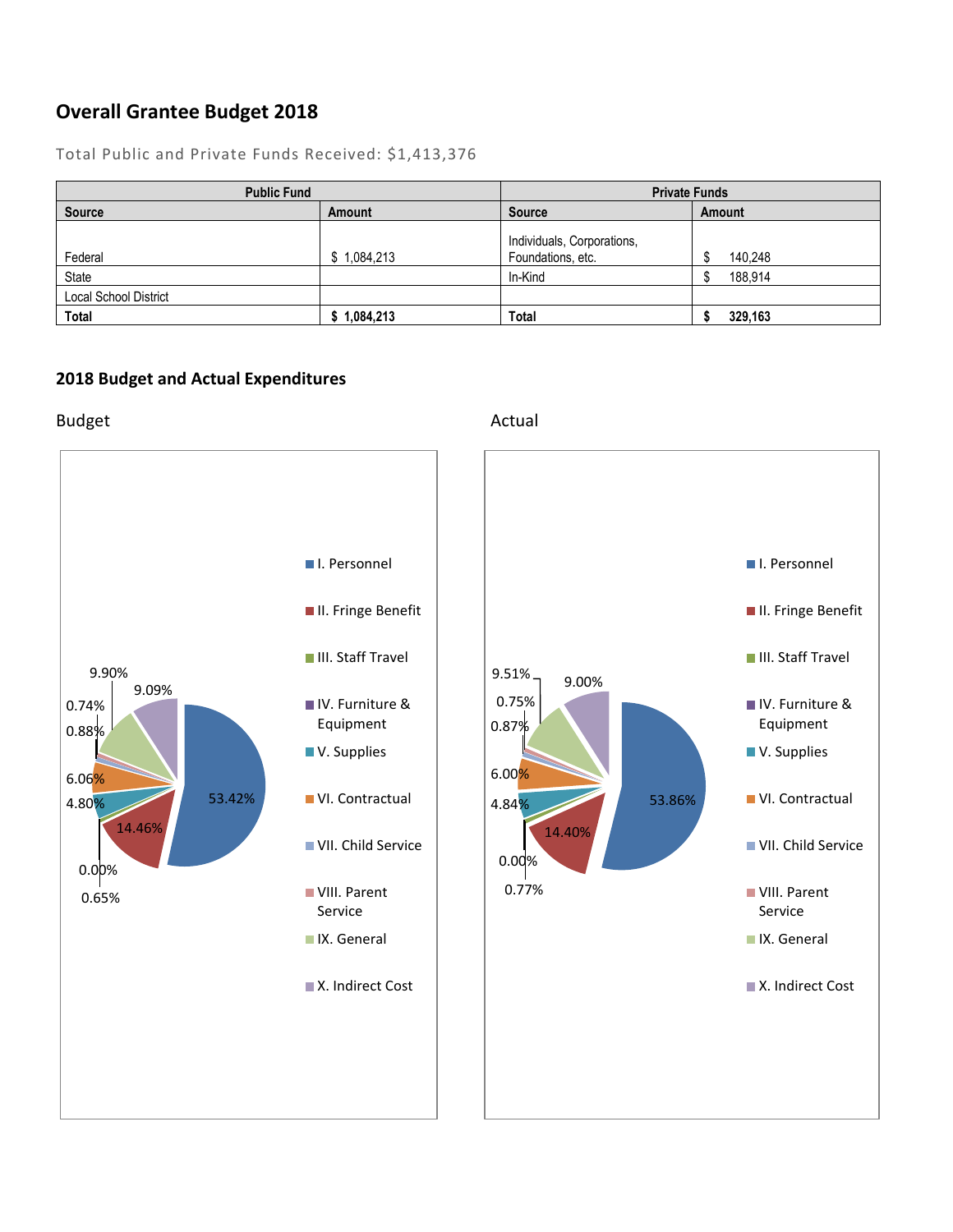### **Overall Grantee Budget 2018**

| <b>Public Fund</b>           |               | <b>Private Funds</b>       |         |
|------------------------------|---------------|----------------------------|---------|
| <b>Source</b>                | <b>Amount</b> | <b>Source</b>              | Amount  |
|                              |               | Individuals, Corporations, |         |
| Federal                      | \$1,084,213   | Foundations, etc.          | 140,248 |
| State                        |               | In-Kind                    | 188.914 |
| <b>Local School District</b> |               |                            |         |
| <b>Total</b>                 | \$1,084,213   | Total                      | 329,163 |

Total Public and Private Funds Received: \$1,413,376

#### **2018 Budget and Actual Expenditures**

Budget **Actual** 

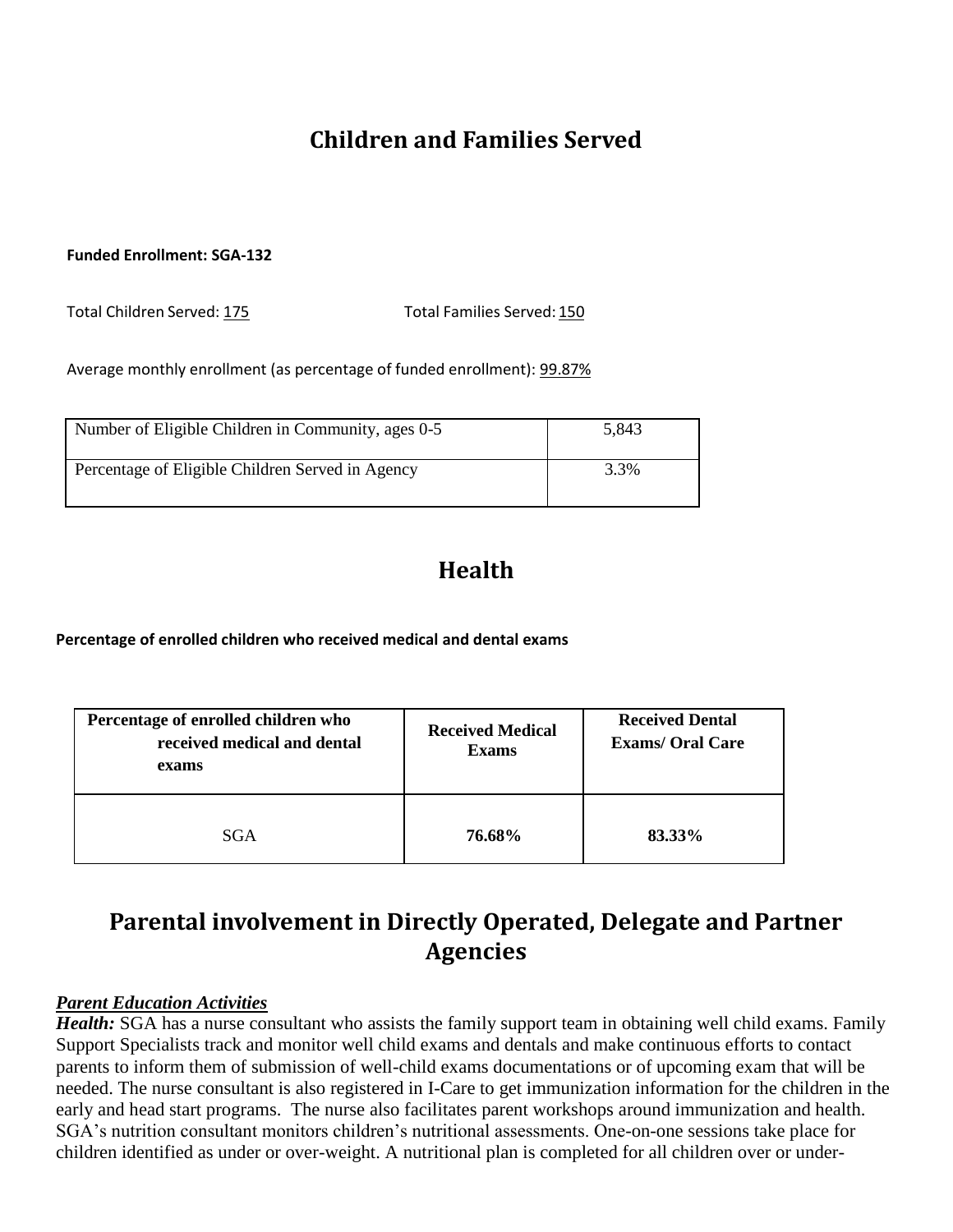# **Children and Families Served**

#### **Funded Enrollment: SGA-132**

Total Children Served: 175 Total Families Served: 150

Average monthly enrollment (as percentage of funded enrollment): 99.87%

| Number of Eligible Children in Community, ages 0-5 | 5.843 |
|----------------------------------------------------|-------|
| Percentage of Eligible Children Served in Agency   | 3.3%  |

# **Health**

**Percentage of enrolled children who received medical and dental exams**

| Percentage of enrolled children who<br>received medical and dental<br>exams | <b>Received Medical</b><br><b>Exams</b> | <b>Received Dental</b><br><b>Exams/ Oral Care</b> |
|-----------------------------------------------------------------------------|-----------------------------------------|---------------------------------------------------|
| SGA                                                                         | 76.68%                                  | 83.33%                                            |

## **Parental involvement in Directly Operated, Delegate and Partner Agencies**

#### *Parent Education Activities*

*Health:* SGA has a nurse consultant who assists the family support team in obtaining well child exams. Family Support Specialists track and monitor well child exams and dentals and make continuous efforts to contact parents to inform them of submission of well-child exams documentations or of upcoming exam that will be needed. The nurse consultant is also registered in I-Care to get immunization information for the children in the early and head start programs. The nurse also facilitates parent workshops around immunization and health. SGA's nutrition consultant monitors children's nutritional assessments. One-on-one sessions take place for children identified as under or over-weight. A nutritional plan is completed for all children over or under-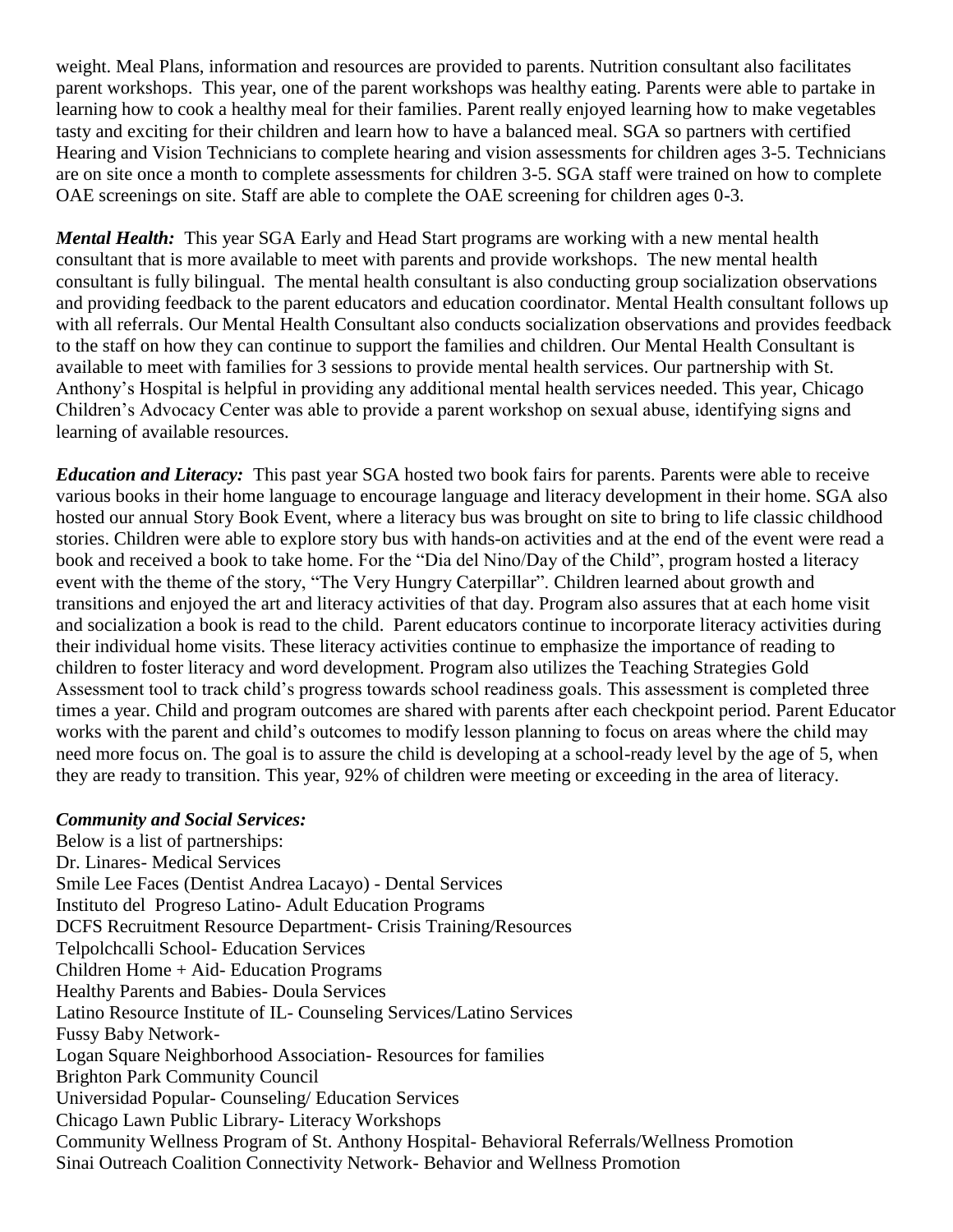weight. Meal Plans, information and resources are provided to parents. Nutrition consultant also facilitates parent workshops. This year, one of the parent workshops was healthy eating. Parents were able to partake in learning how to cook a healthy meal for their families. Parent really enjoyed learning how to make vegetables tasty and exciting for their children and learn how to have a balanced meal. SGA so partners with certified Hearing and Vision Technicians to complete hearing and vision assessments for children ages 3-5. Technicians are on site once a month to complete assessments for children 3-5. SGA staff were trained on how to complete OAE screenings on site. Staff are able to complete the OAE screening for children ages 0-3.

*Mental Health:* This year SGA Early and Head Start programs are working with a new mental health consultant that is more available to meet with parents and provide workshops. The new mental health consultant is fully bilingual. The mental health consultant is also conducting group socialization observations and providing feedback to the parent educators and education coordinator. Mental Health consultant follows up with all referrals. Our Mental Health Consultant also conducts socialization observations and provides feedback to the staff on how they can continue to support the families and children. Our Mental Health Consultant is available to meet with families for 3 sessions to provide mental health services. Our partnership with St. Anthony's Hospital is helpful in providing any additional mental health services needed. This year, Chicago Children's Advocacy Center was able to provide a parent workshop on sexual abuse, identifying signs and learning of available resources.

*Education and Literacy:* This past year SGA hosted two book fairs for parents. Parents were able to receive various books in their home language to encourage language and literacy development in their home. SGA also hosted our annual Story Book Event, where a literacy bus was brought on site to bring to life classic childhood stories. Children were able to explore story bus with hands-on activities and at the end of the event were read a book and received a book to take home. For the "Dia del Nino/Day of the Child", program hosted a literacy event with the theme of the story, "The Very Hungry Caterpillar". Children learned about growth and transitions and enjoyed the art and literacy activities of that day. Program also assures that at each home visit and socialization a book is read to the child. Parent educators continue to incorporate literacy activities during their individual home visits. These literacy activities continue to emphasize the importance of reading to children to foster literacy and word development. Program also utilizes the Teaching Strategies Gold Assessment tool to track child's progress towards school readiness goals. This assessment is completed three times a year. Child and program outcomes are shared with parents after each checkpoint period. Parent Educator works with the parent and child's outcomes to modify lesson planning to focus on areas where the child may need more focus on. The goal is to assure the child is developing at a school-ready level by the age of 5, when they are ready to transition. This year, 92% of children were meeting or exceeding in the area of literacy.

#### *Community and Social Services:*

Below is a list of partnerships: Dr. Linares- Medical Services Smile Lee Faces (Dentist Andrea Lacayo) - Dental Services Instituto del Progreso Latino- Adult Education Programs DCFS Recruitment Resource Department- Crisis Training/Resources Telpolchcalli School- Education Services Children Home + Aid- Education Programs Healthy Parents and Babies- Doula Services Latino Resource Institute of IL- Counseling Services/Latino Services Fussy Baby Network-Logan Square Neighborhood Association- Resources for families Brighton Park Community Council Universidad Popular- Counseling/ Education Services Chicago Lawn Public Library- Literacy Workshops Community Wellness Program of St. Anthony Hospital- Behavioral Referrals/Wellness Promotion Sinai Outreach Coalition Connectivity Network- Behavior and Wellness Promotion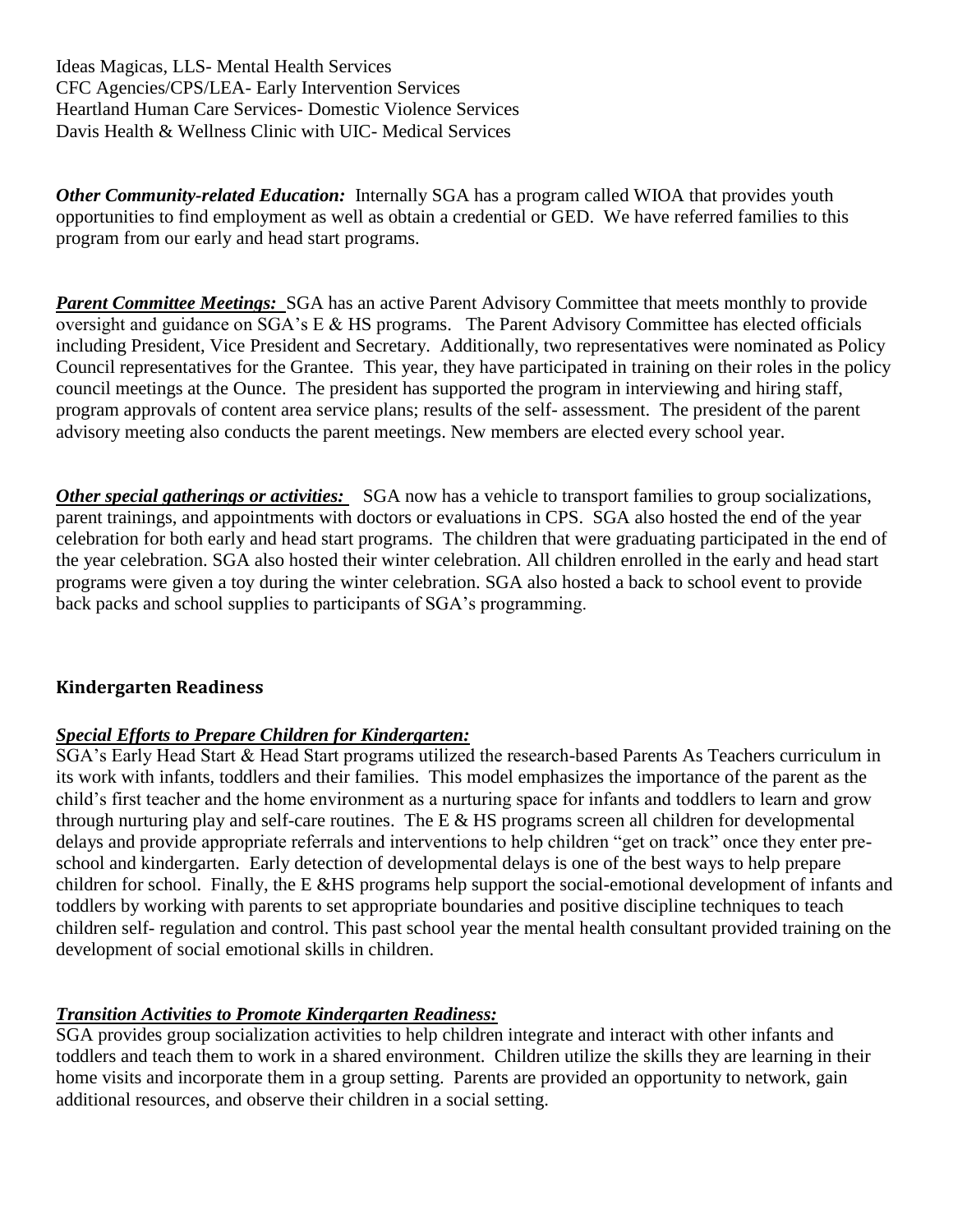Ideas Magicas, LLS- Mental Health Services CFC Agencies/CPS/LEA- Early Intervention Services Heartland Human Care Services- Domestic Violence Services Davis Health & Wellness Clinic with UIC- Medical Services

*Other Community-related Education:* Internally SGA has a program called WIOA that provides youth opportunities to find employment as well as obtain a credential or GED. We have referred families to this program from our early and head start programs.

*Parent Committee Meetings:* SGA has an active Parent Advisory Committee that meets monthly to provide oversight and guidance on SGA's E & HS programs. The Parent Advisory Committee has elected officials including President, Vice President and Secretary. Additionally, two representatives were nominated as Policy Council representatives for the Grantee. This year, they have participated in training on their roles in the policy council meetings at the Ounce. The president has supported the program in interviewing and hiring staff, program approvals of content area service plans; results of the self- assessment. The president of the parent advisory meeting also conducts the parent meetings. New members are elected every school year.

*Other special gatherings or activities:* SGA now has a vehicle to transport families to group socializations, parent trainings, and appointments with doctors or evaluations in CPS. SGA also hosted the end of the year celebration for both early and head start programs. The children that were graduating participated in the end of the year celebration. SGA also hosted their winter celebration. All children enrolled in the early and head start programs were given a toy during the winter celebration. SGA also hosted a back to school event to provide back packs and school supplies to participants of SGA's programming.

### **Kindergarten Readiness**

### *Special Efforts to Prepare Children for Kindergarten:*

SGA's Early Head Start & Head Start programs utilized the research-based Parents As Teachers curriculum in its work with infants, toddlers and their families. This model emphasizes the importance of the parent as the child's first teacher and the home environment as a nurturing space for infants and toddlers to learn and grow through nurturing play and self-care routines. The E  $\&$  HS programs screen all children for developmental delays and provide appropriate referrals and interventions to help children "get on track" once they enter preschool and kindergarten. Early detection of developmental delays is one of the best ways to help prepare children for school. Finally, the E &HS programs help support the social-emotional development of infants and toddlers by working with parents to set appropriate boundaries and positive discipline techniques to teach children self- regulation and control. This past school year the mental health consultant provided training on the development of social emotional skills in children.

### *Transition Activities to Promote Kindergarten Readiness:*

SGA provides group socialization activities to help children integrate and interact with other infants and toddlers and teach them to work in a shared environment. Children utilize the skills they are learning in their home visits and incorporate them in a group setting. Parents are provided an opportunity to network, gain additional resources, and observe their children in a social setting.